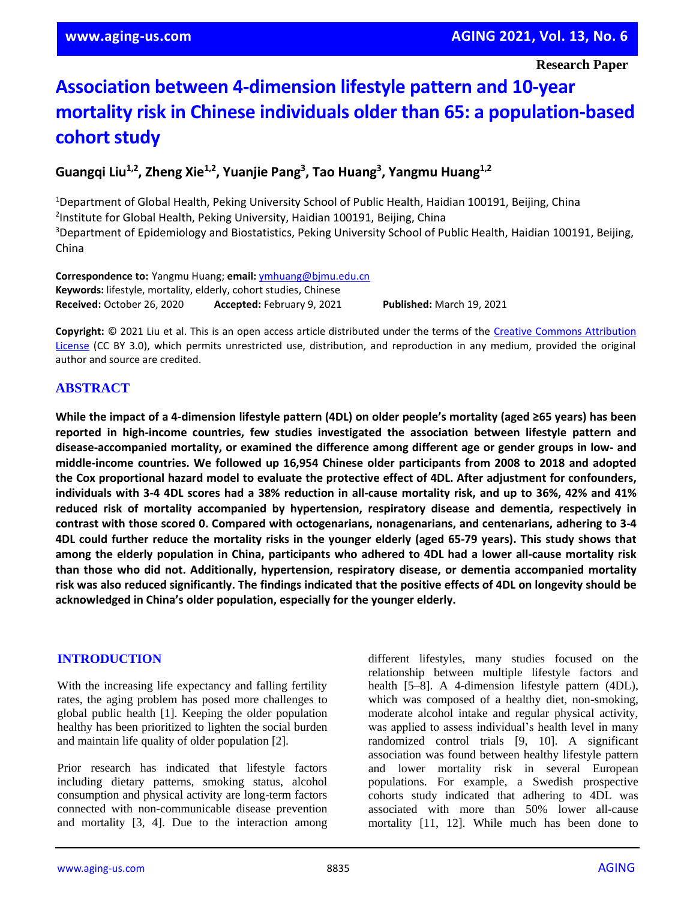**Research Paper**

# **Association between 4-dimension lifestyle pattern and 10-year mortality risk in Chinese individuals older than 65: a population-based cohort study**

# **Guangqi Liu1,2, Zheng Xie1,2, Yuanjie Pang<sup>3</sup> , Tao Huang<sup>3</sup> , Yangmu Huang1,2**

<sup>1</sup>Department of Global Health, Peking University School of Public Health, Haidian 100191, Beijing, China 2 Institute for Global Health, Peking University, Haidian 100191, Beijing, China <sup>3</sup>Department of Epidemiology and Biostatistics, Peking University School of Public Health, Haidian 100191, Beijing, China

**Correspondence to:** Yangmu Huang; **email:** [ymhuang@bjmu.edu.cn](mailto:ymhuang@bjmu.edu.cn) **Keywords:** lifestyle, mortality, elderly, cohort studies, Chinese **Received:** October 26, 2020 **Accepted:** February 9, 2021 **Published:** March 19, 2021

**Copyright:** © 2021 Liu et al. This is an open access article distributed under the terms of the [Creative Commons Attribution](https://creativecommons.org/licenses/by/3.0/)  [License](https://creativecommons.org/licenses/by/3.0/) (CC BY 3.0), which permits unrestricted use, distribution, and reproduction in any medium, provided the original author and source are credited.

# **ABSTRACT**

While the impact of a 4-dimension lifestyle pattern (4DL) on older people's mortality (aged ≥65 years) has been **reported in high-income countries, few studies investigated the association between lifestyle pattern and disease-accompanied mortality, or examined the difference among different age or gender groups in low- and middle-income countries. We followed up 16,954 Chinese older participants from 2008 to 2018 and adopted the Cox proportional hazard model to evaluate the protective effect of 4DL. After adjustment for confounders,** individuals with 3-4 4DL scores had a 38% reduction in all-cause mortality risk, and up to 36%, 42% and 41% **reduced risk of mortality accompanied by hypertension, respiratory disease and dementia, respectively in contrast with those scored 0. Compared with octogenarians, nonagenarians, and centenarians, adhering to 3-4** 4DL could further reduce the mortality risks in the younger elderly (aged 65-79 years). This study shows that among the elderly population in China, participants who adhered to 4DL had a lower all-cause mortality risk **than those who did not. Additionally, hypertension, respiratory disease, or dementia accompanied mortality** risk was also reduced significantly. The findings indicated that the positive effects of 4DL on longevity should be **acknowledged in China's older population, especially for the younger elderly.**

# **INTRODUCTION**

With the increasing life expectancy and falling fertility rates, the aging problem has posed more challenges to global public health [1]. Keeping the older population healthy has been prioritized to lighten the social burden and maintain life quality of older population [2].

Prior research has indicated that lifestyle factors including dietary patterns, smoking status, alcohol consumption and physical activity are long-term factors connected with non-communicable disease prevention and mortality [3, 4]. Due to the interaction among different lifestyles, many studies focused on the relationship between multiple lifestyle factors and health [5–8]. A 4-dimension lifestyle pattern (4DL), which was composed of a healthy diet, non-smoking, moderate alcohol intake and regular physical activity, was applied to assess individual's health level in many randomized control trials [9, 10]. A significant association was found between healthy lifestyle pattern and lower mortality risk in several European populations. For example, a Swedish prospective cohorts study indicated that adhering to 4DL was associated with more than 50% lower all-cause mortality [11, 12]. While much has been done to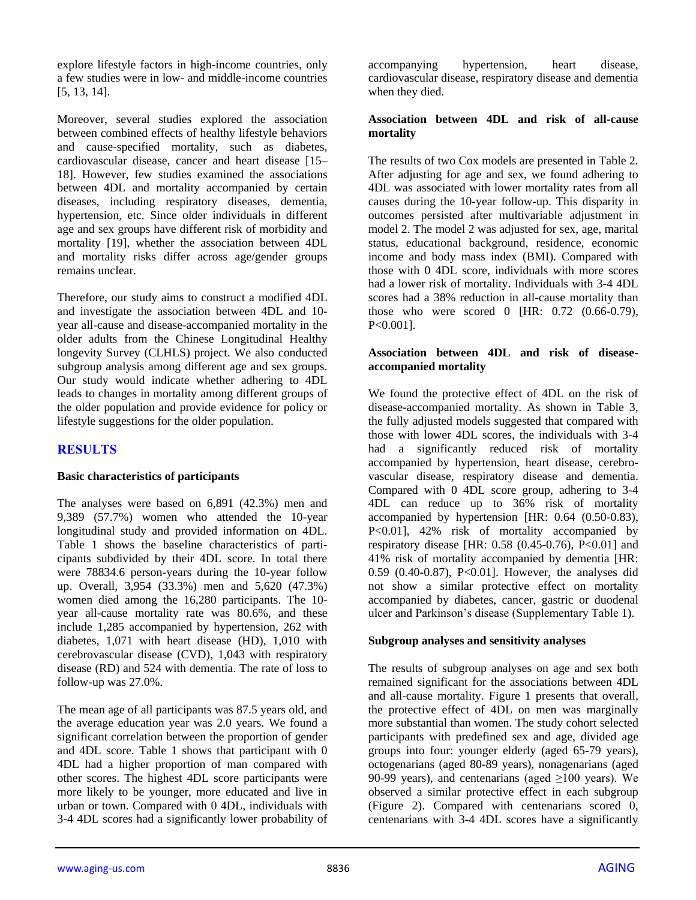explore lifestyle factors in high-income countries, only a few studies were in low- and middle-income countries [5, 13, 14].

Moreover, several studies explored the association between combined effects of healthy lifestyle behaviors and cause-specified mortality, such as diabetes, cardiovascular disease, cancer and heart disease [15– 18]. However, few studies examined the associations between 4DL and mortality accompanied by certain diseases, including respiratory diseases, dementia, hypertension, etc. Since older individuals in different age and sex groups have different risk of morbidity and mortality [19], whether the association between 4DL and mortality risks differ across age/gender groups remains unclear.

Therefore, our study aims to construct a modified 4DL and investigate the association between 4DL and 10 year all-cause and disease-accompanied mortality in the older adults from the Chinese Longitudinal Healthy longevity Survey (CLHLS) project. We also conducted subgroup analysis among different age and sex groups. Our study would indicate whether adhering to 4DL leads to changes in mortality among different groups of the older population and provide evidence for policy or lifestyle suggestions for the older population.

# **RESULTS**

#### **Basic characteristics of participants**

The analyses were based on 6,891 (42.3%) men and 9,389 (57.7%) women who attended the 10-year longitudinal study and provided information on 4DL. Table 1 shows the baseline characteristics of participants subdivided by their 4DL score. In total there were 78834.6 person-years during the 10-year follow up. Overall, 3,954 (33.3%) men and 5,620 (47.3%) women died among the 16,280 participants. The 10 year all-cause mortality rate was 80.6%, and these include 1,285 accompanied by hypertension, 262 with diabetes, 1,071 with heart disease (HD), 1,010 with cerebrovascular disease (CVD), 1,043 with respiratory disease (RD) and 524 with dementia. The rate of loss to follow-up was 27.0%.

The mean age of all participants was 87.5 years old, and the average education year was 2.0 years. We found a significant correlation between the proportion of gender and 4DL score. Table 1 shows that participant with 0 4DL had a higher proportion of man compared with other scores. The highest 4DL score participants were more likely to be younger, more educated and live in urban or town. Compared with 0 4DL, individuals with 3-4 4DL scores had a significantly lower probability of

accompanying hypertension, heart disease, cardiovascular disease, respiratory disease and dementia when they died.

#### **Association between 4DL and risk of all-cause mortality**

The results of two Cox models are presented in Table 2. After adjusting for age and sex, we found adhering to 4DL was associated with lower mortality rates from all causes during the 10-year follow-up. This disparity in outcomes persisted after multivariable adjustment in model 2. The model 2 was adjusted for sex, age, marital status, educational background, residence, economic income and body mass index (BMI). Compared with those with 0 4DL score, individuals with more scores had a lower risk of mortality. Individuals with 3-4 4DL scores had a 38% reduction in all-cause mortality than those who were scored 0 [HR: 0.72 (0.66-0.79), P<0.001].

#### **Association between 4DL and risk of diseaseaccompanied mortality**

We found the protective effect of 4DL on the risk of disease-accompanied mortality. As shown in Table 3, the fully adjusted models suggested that compared with those with lower 4DL scores, the individuals with 3-4 had a significantly reduced risk of mortality accompanied by hypertension, heart disease, cerebrovascular disease, respiratory disease and dementia. Compared with 0 4DL score group, adhering to 3-4 4DL can reduce up to 36% risk of mortality accompanied by hypertension [HR: 0.64 (0.50-0.83), P<0.01], 42% risk of mortality accompanied by respiratory disease [HR: 0.58 (0.45-0.76), P<0.01] and 41% risk of mortality accompanied by dementia [HR: 0.59 (0.40-0.87), P<0.01]. However, the analyses did not show a similar protective effect on mortality accompanied by diabetes, cancer, gastric or duodenal ulcer and Parkinson's disease (Supplementary Table 1).

#### **Subgroup analyses and sensitivity analyses**

The results of subgroup analyses on age and sex both remained significant for the associations between 4DL and all-cause mortality. Figure 1 presents that overall, the protective effect of 4DL on men was marginally more substantial than women. The study cohort selected participants with predefined sex and age, divided age groups into four: younger elderly (aged 65-79 years), octogenarians (aged 80-89 years), nonagenarians (aged 90-99 years), and centenarians (aged  $\geq$ 100 years). We observed a similar protective effect in each subgroup (Figure 2). Compared with centenarians scored 0, centenarians with 3-4 4DL scores have a significantly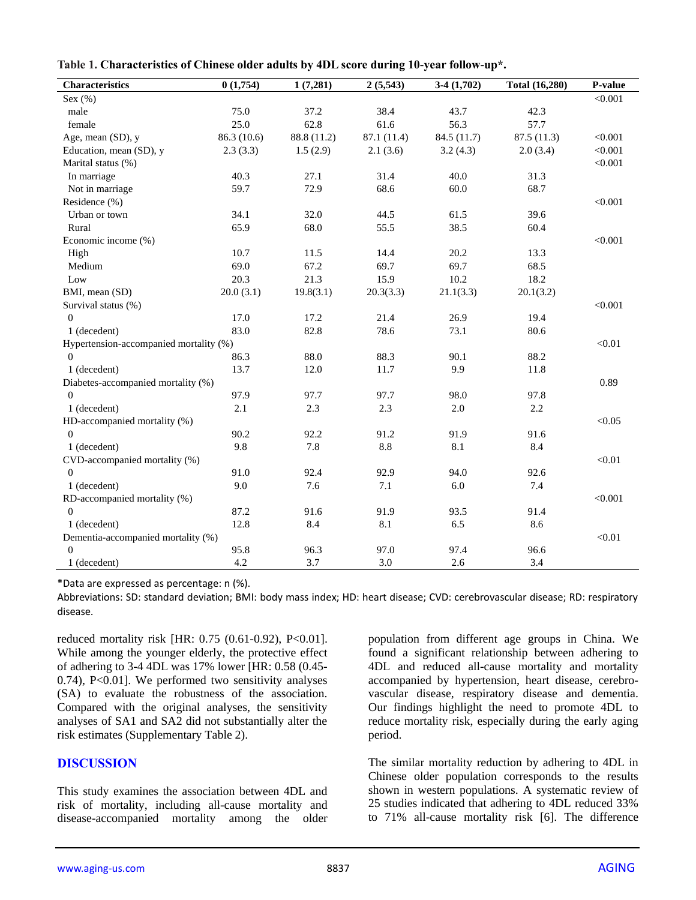| <b>Characteristics</b>                 | 0(1,754)    | 1(7,281)    | 2(5,543)    | $3-4(1,702)$ | <b>Total (16,280)</b> | P-value |
|----------------------------------------|-------------|-------------|-------------|--------------|-----------------------|---------|
| Sex $(\%)$                             |             |             |             |              |                       | < 0.001 |
| male                                   | 75.0        | 37.2        | 38.4        | 43.7         | 42.3                  |         |
| female                                 | 25.0        | 62.8        | 61.6        | 56.3         | 57.7                  |         |
| Age, mean (SD), y                      | 86.3 (10.6) | 88.8 (11.2) | 87.1 (11.4) | 84.5 (11.7)  | 87.5(11.3)            | < 0.001 |
| Education, mean (SD), y                | 2.3(3.3)    | 1.5(2.9)    | 2.1(3.6)    | 3.2(4.3)     | 2.0(3.4)              | < 0.001 |
| Marital status (%)                     |             |             |             |              |                       | < 0.001 |
| In marriage                            | 40.3        | 27.1        | 31.4        | 40.0         | 31.3                  |         |
| Not in marriage                        | 59.7        | 72.9        | 68.6        | 60.0         | 68.7                  |         |
| Residence (%)                          |             |             |             |              |                       | < 0.001 |
| Urban or town                          | 34.1        | 32.0        | 44.5        | 61.5         | 39.6                  |         |
| Rural                                  | 65.9        | 68.0        | 55.5        | 38.5         | 60.4                  |         |
| Economic income (%)                    |             |             |             |              |                       | < 0.001 |
| High                                   | 10.7        | 11.5        | 14.4        | 20.2         | 13.3                  |         |
| Medium                                 | 69.0        | 67.2        | 69.7        | 69.7         | 68.5                  |         |
| Low                                    | 20.3        | 21.3        | 15.9        | 10.2         | 18.2                  |         |
| BMI, mean (SD)                         | 20.0(3.1)   | 19.8(3.1)   | 20.3(3.3)   | 21.1(3.3)    | 20.1(3.2)             |         |
| Survival status (%)                    |             |             |             |              |                       | < 0.001 |
| $\theta$                               | 17.0        | 17.2        | 21.4        | 26.9         | 19.4                  |         |
| 1 (decedent)                           | 83.0        | 82.8        | 78.6        | 73.1         | 80.6                  |         |
| Hypertension-accompanied mortality (%) |             |             |             |              |                       | < 0.01  |
| $\Omega$                               | 86.3        | 88.0        | 88.3        | 90.1         | 88.2                  |         |
| 1 (decedent)                           | 13.7        | 12.0        | 11.7        | 9.9          | 11.8                  |         |
| Diabetes-accompanied mortality (%)     |             |             |             |              |                       | 0.89    |
| $\theta$                               | 97.9        | 97.7        | 97.7        | 98.0         | 97.8                  |         |
| 1 (decedent)                           | 2.1         | 2.3         | 2.3         | 2.0          | 2.2                   |         |
| HD-accompanied mortality (%)           |             |             |             |              |                       | < 0.05  |
| $\mathbf{0}$                           | 90.2        | 92.2        | 91.2        | 91.9         | 91.6                  |         |
| 1 (decedent)                           | 9.8         | 7.8         | 8.8         | 8.1          | 8.4                   |         |
| CVD-accompanied mortality (%)          |             |             |             |              |                       | < 0.01  |
| $\mathbf{0}$                           | 91.0        | 92.4        | 92.9        | 94.0         | 92.6                  |         |
| 1 (decedent)                           | 9.0         | 7.6         | 7.1         | 6.0          | 7.4                   |         |
| RD-accompanied mortality (%)           |             |             |             |              |                       | < 0.001 |
| $\overline{0}$                         | 87.2        | 91.6        | 91.9        | 93.5         | 91.4                  |         |
| 1 (decedent)                           | 12.8        | 8.4         | 8.1         | 6.5          | 8.6                   |         |
| Dementia-accompanied mortality (%)     |             |             |             |              |                       | < 0.01  |
| $\boldsymbol{0}$                       | 95.8        | 96.3        | 97.0        | 97.4         | 96.6                  |         |
| 1 (decedent)                           | 4.2         | 3.7         | 3.0         | 2.6          | 3.4                   |         |

**Table 1. Characteristics of Chinese older adults by 4DL score during 10-year follow-up\*.**

\*Data are expressed as percentage: n (%).

Abbreviations: SD: standard deviation; BMI: body mass index; HD: heart disease; CVD: cerebrovascular disease; RD: respiratory disease.

reduced mortality risk [HR: 0.75 (0.61-0.92), P<0.01]. While among the younger elderly, the protective effect of adhering to 3-4 4DL was 17% lower [HR: 0.58 (0.45- 0.74), P<0.01]. We performed two sensitivity analyses (SA) to evaluate the robustness of the association. Compared with the original analyses, the sensitivity analyses of SA1 and SA2 did not substantially alter the risk estimates (Supplementary Table 2).

# **DISCUSSION**

This study examines the association between 4DL and risk of mortality, including all-cause mortality and disease-accompanied mortality among the older

population from different age groups in China. We found a significant relationship between adhering to 4DL and reduced all-cause mortality and mortality accompanied by hypertension, heart disease, cerebrovascular disease, respiratory disease and dementia. Our findings highlight the need to promote 4DL to reduce mortality risk, especially during the early aging period.

The similar mortality reduction by adhering to 4DL in Chinese older population corresponds to the results shown in western populations. A systematic review of 25 studies indicated that adhering to 4DL reduced 33% to 71% all-cause mortality risk [6]. The difference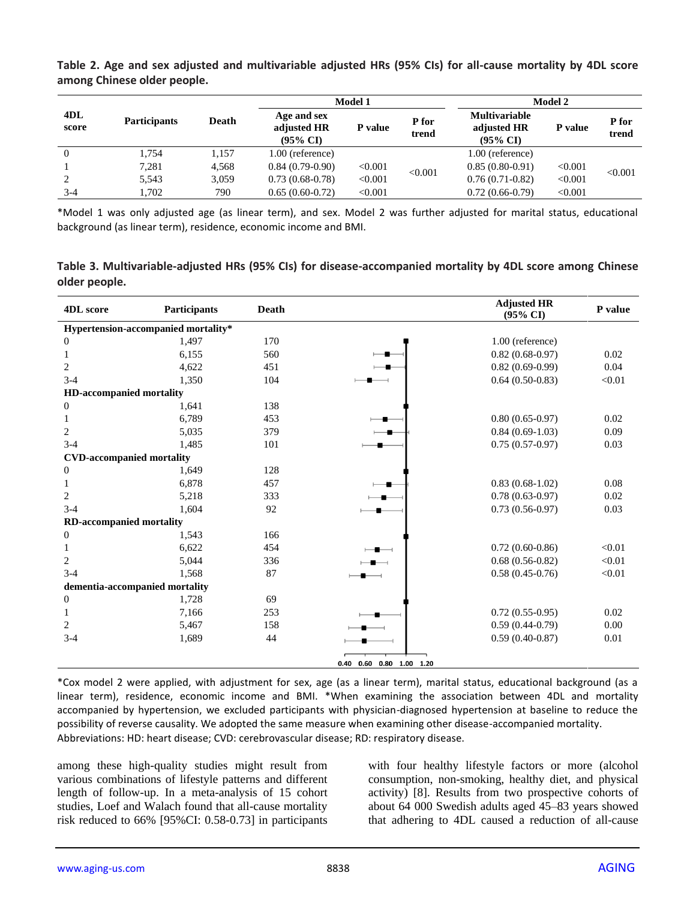|              |                     | Model 1      |                                                   |         | Model 2        |                                                            |         |                |
|--------------|---------------------|--------------|---------------------------------------------------|---------|----------------|------------------------------------------------------------|---------|----------------|
| 4DL<br>score | <b>Participants</b> | <b>Death</b> | Age and sex<br>adjusted HR<br>$(95\% \text{ CI})$ | P value | P for<br>trend | <b>Multivariable</b><br>adjusted HR<br>$(95\% \text{ CI})$ | P value | P for<br>trend |
| $\theta$     | 1.754               | 1,157        | 1.00 (reference)                                  |         |                | 1.00 (reference)                                           |         |                |
|              | 7,281               | 4,568        | $0.84(0.79-0.90)$                                 | < 0.001 |                | $0.85(0.80-0.91)$                                          | < 0.001 |                |
|              | 5.543               | 3,059        | $0.73(0.68-0.78)$                                 | < 0.001 | < 0.001        | $0.76(0.71-0.82)$                                          | < 0.001 | < 0.001        |
| $3 - 4$      | 1.702               | 790          | $0.65(0.60-0.72)$                                 | < 0.001 |                | $0.72(0.66-0.79)$                                          | < 0.001 |                |

**Table 2. Age and sex adjusted and multivariable adjusted HRs (95% CIs) for all-cause mortality by 4DL score among Chinese older people.**

\*Model 1 was only adjusted age (as linear term), and sex. Model 2 was further adjusted for marital status, educational background (as linear term), residence, economic income and BMI.

**Table 3. Multivariable-adjusted HRs (95% CIs) for disease-accompanied mortality by 4DL score among Chinese older people.**

| <b>4DL</b> score                    | <b>Participants</b> | <b>Death</b> |                              | <b>Adjusted HR</b><br>$(95\% \text{ CI})$ | P value |  |
|-------------------------------------|---------------------|--------------|------------------------------|-------------------------------------------|---------|--|
| Hypertension-accompanied mortality* |                     |              |                              |                                           |         |  |
| $\mathbf{0}$                        | 1,497               | 170          |                              | 1.00 (reference)                          |         |  |
| 1                                   | 6,155               | 560          |                              | $0.82(0.68-0.97)$                         | 0.02    |  |
| 2                                   | 4,622               | 451          |                              | $0.82(0.69-0.99)$                         | 0.04    |  |
| $3-4$                               | 1,350               | 104          |                              | $0.64(0.50-0.83)$                         | < 0.01  |  |
| <b>HD-accompanied mortality</b>     |                     |              |                              |                                           |         |  |
| $\boldsymbol{0}$                    | 1,641               | 138          |                              |                                           |         |  |
| 1                                   | 6,789               | 453          |                              | $0.80(0.65-0.97)$                         | 0.02    |  |
| $\overline{c}$                      | 5,035               | 379          |                              | $0.84(0.69-1.03)$                         | 0.09    |  |
| $3 - 4$                             | 1,485               | 101          |                              | $0.75(0.57-0.97)$                         | 0.03    |  |
| <b>CVD-accompanied mortality</b>    |                     |              |                              |                                           |         |  |
| $\mathbf{0}$                        | 1,649               | 128          |                              |                                           |         |  |
| 1                                   | 6,878               | 457          |                              | $0.83(0.68-1.02)$                         | 0.08    |  |
| 2                                   | 5,218               | 333          |                              | $0.78(0.63-0.97)$                         | 0.02    |  |
| $3-4$                               | 1,604               | 92           |                              | $0.73(0.56-0.97)$                         | 0.03    |  |
| <b>RD-accompanied mortality</b>     |                     |              |                              |                                           |         |  |
| $\mathbf{0}$                        | 1,543               | 166          |                              |                                           |         |  |
| 1                                   | 6,622               | 454          |                              | $0.72(0.60-0.86)$                         | < 0.01  |  |
| 2                                   | 5,044               | 336          |                              | $0.68(0.56-0.82)$                         | < 0.01  |  |
| $3-4$                               | 1,568               | 87           |                              | $0.58(0.45-0.76)$                         | < 0.01  |  |
| dementia-accompanied mortality      |                     |              |                              |                                           |         |  |
| $\mathbf{0}$                        | 1,728               | 69           |                              |                                           |         |  |
| 1                                   | 7,166               | 253          |                              | $0.72(0.55-0.95)$                         | 0.02    |  |
| 2                                   | 5,467               | 158          |                              | $0.59(0.44-0.79)$                         | 0.00    |  |
| $3-4$                               | 1,689               | 44           |                              | $0.59(0.40-0.87)$                         | 0.01    |  |
|                                     |                     |              | 0.40  0.60  0.80  1.00  1.20 |                                           |         |  |

\*Cox model 2 were applied, with adjustment for sex, age (as a linear term), marital status, educational background (as a linear term), residence, economic income and BMI. \*When examining the association between 4DL and mortality accompanied by hypertension, we excluded participants with physician-diagnosed hypertension at baseline to reduce the possibility of reverse causality. We adopted the same measure when examining other disease-accompanied mortality. Abbreviations: HD: heart disease; CVD: cerebrovascular disease; RD: respiratory disease.

among these high-quality studies might result from various combinations of lifestyle patterns and different length of follow-up. In a meta-analysis of 15 cohort studies, Loef and Walach found that all-cause mortality risk reduced to 66% [95%CI: 0.58-0.73] in participants with four healthy lifestyle factors or more (alcohol consumption, non-smoking, healthy diet, and physical activity) [8]. Results from two prospective cohorts of about 64 000 Swedish adults aged 45–83 years showed that adhering to 4DL caused a reduction of all-cause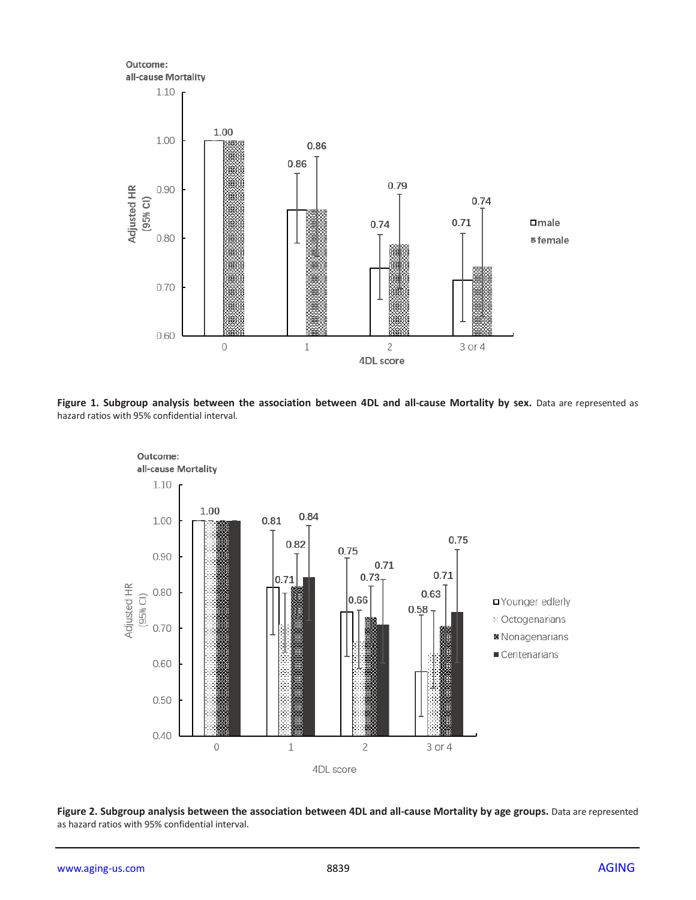

**Figure 1. Subgroup analysis between the association between 4DL and all-cause Mortality by sex.** Data are represented as hazard ratios with 95% confidential interval.



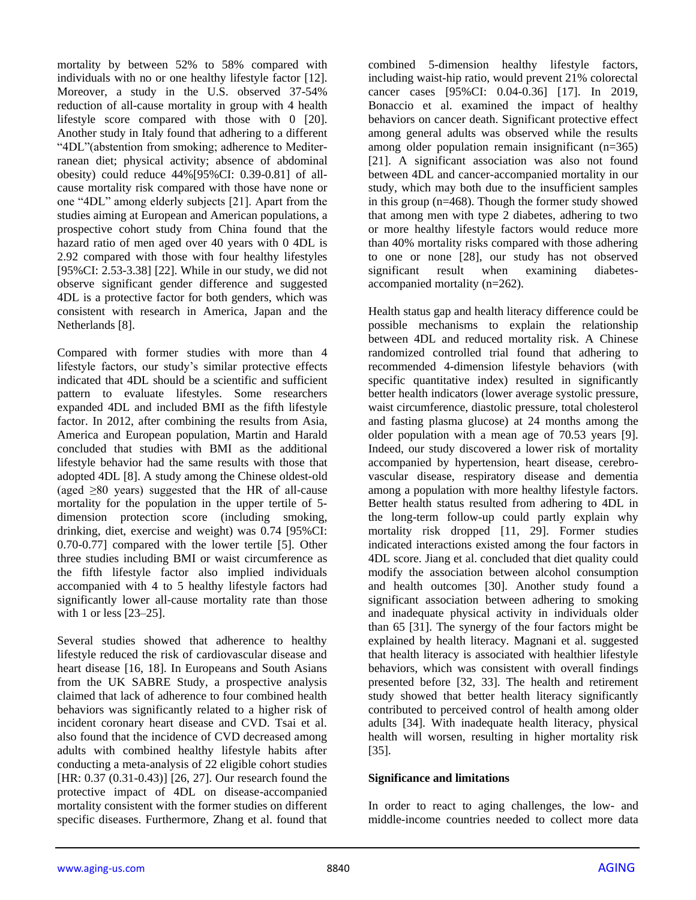mortality by between 52% to 58% compared with individuals with no or one healthy lifestyle factor [12]. Moreover, a study in the U.S. observed 37-54% reduction of all-cause mortality in group with 4 health lifestyle score compared with those with 0 [20]. Another study in Italy found that adhering to a different "4DL"(abstention from smoking; adherence to Mediterranean diet; physical activity; absence of abdominal obesity) could reduce 44%[95%CI: 0.39-0.81] of allcause mortality risk compared with those have none or one "4DL" among elderly subjects [21]. Apart from the studies aiming at European and American populations, a prospective cohort study from China found that the hazard ratio of men aged over 40 years with 0 4DL is 2.92 compared with those with four healthy lifestyles [95%CI: 2.53-3.38] [22]. While in our study, we did not observe significant gender difference and suggested 4DL is a protective factor for both genders, which was consistent with research in America, Japan and the Netherlands [8].

Compared with former studies with more than 4 lifestyle factors, our study's similar protective effects indicated that 4DL should be a scientific and sufficient pattern to evaluate lifestyles. Some researchers expanded 4DL and included BMI as the fifth lifestyle factor. In 2012, after combining the results from Asia, America and European population, Martin and Harald concluded that studies with BMI as the additional lifestyle behavior had the same results with those that adopted 4DL [8]. A study among the Chinese oldest-old (aged  $\geq 80$  years) suggested that the HR of all-cause mortality for the population in the upper tertile of 5 dimension protection score (including smoking, drinking, diet, exercise and weight) was 0.74 [95%CI: 0.70-0.77] compared with the lower tertile [5]. Other three studies including BMI or waist circumference as the fifth lifestyle factor also implied individuals accompanied with 4 to 5 healthy lifestyle factors had significantly lower all-cause mortality rate than those with 1 or less [23–25].

Several studies showed that adherence to healthy lifestyle reduced the risk of cardiovascular disease and heart disease [16, 18]. In Europeans and South Asians from the UK SABRE Study, a prospective analysis claimed that lack of adherence to four combined health behaviors was significantly related to a higher risk of incident coronary heart disease and CVD. Tsai et al. also found that the incidence of CVD decreased among adults with combined healthy lifestyle habits after conducting a meta-analysis of 22 eligible cohort studies [HR: 0.37 (0.31-0.43)] [26, 27]. Our research found the protective impact of 4DL on disease-accompanied mortality consistent with the former studies on different specific diseases. Furthermore, Zhang et al. found that combined 5-dimension healthy lifestyle factors, including waist-hip ratio, would prevent 21% colorectal cancer cases [95%CI: 0.04-0.36] [17]. In 2019, Bonaccio et al. examined the impact of healthy behaviors on cancer death. Significant protective effect among general adults was observed while the results among older population remain insignificant (n=365) [21]. A significant association was also not found between 4DL and cancer-accompanied mortality in our study, which may both due to the insufficient samples in this group (n=468). Though the former study showed that among men with type 2 diabetes, adhering to two or more healthy lifestyle factors would reduce more than 40% mortality risks compared with those adhering to one or none [28], our study has not observed significant result when examining diabetesaccompanied mortality (n=262).

Health status gap and health literacy difference could be possible mechanisms to explain the relationship between 4DL and reduced mortality risk. A Chinese randomized controlled trial found that adhering to recommended 4-dimension lifestyle behaviors (with specific quantitative index) resulted in significantly better health indicators (lower average systolic pressure, waist circumference, diastolic pressure, total cholesterol and fasting plasma glucose) at 24 months among the older population with a mean age of 70.53 years [9]. Indeed, our study discovered a lower risk of mortality accompanied by hypertension, heart disease, cerebrovascular disease, respiratory disease and dementia among a population with more healthy lifestyle factors. Better health status resulted from adhering to 4DL in the long-term follow-up could partly explain why mortality risk dropped [11, 29]. Former studies indicated interactions existed among the four factors in 4DL score. Jiang et al. concluded that diet quality could modify the association between alcohol consumption and health outcomes [30]. Another study found a significant association between adhering to smoking and inadequate physical activity in individuals older than 65 [31]. The synergy of the four factors might be explained by health literacy. Magnani et al. suggested that health literacy is associated with healthier lifestyle behaviors, which was consistent with overall findings presented before [32, 33]. The health and retirement study showed that better health literacy significantly contributed to perceived control of health among older adults [34]. With inadequate health literacy, physical health will worsen, resulting in higher mortality risk [35].

#### **Significance and limitations**

In order to react to aging challenges, the low- and middle-income countries needed to collect more data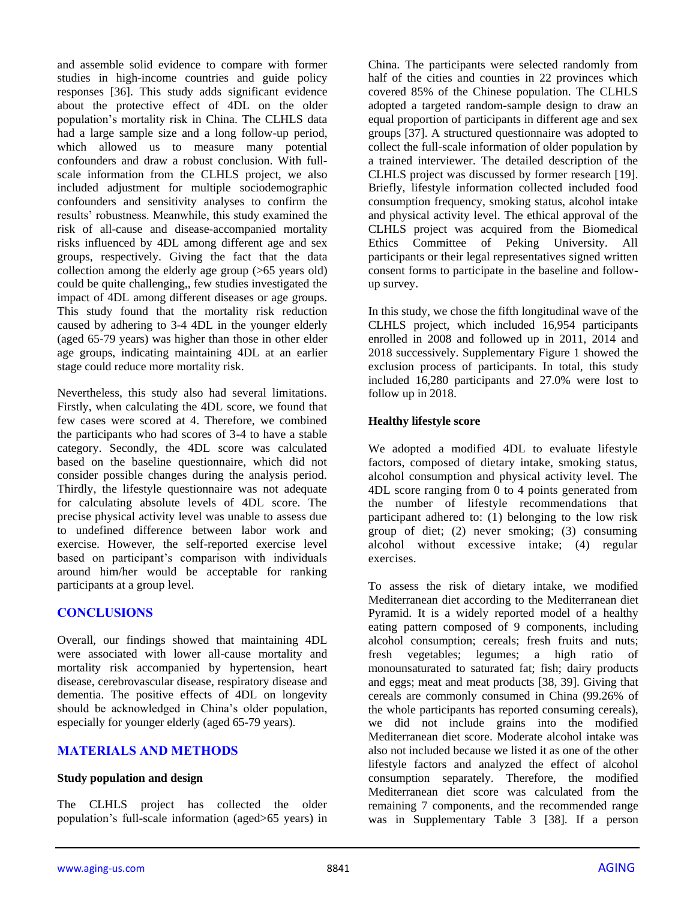and assemble solid evidence to compare with former studies in high-income countries and guide policy responses [36]. This study adds significant evidence about the protective effect of 4DL on the older population's mortality risk in China. The CLHLS data had a large sample size and a long follow-up period, which allowed us to measure many potential confounders and draw a robust conclusion. With fullscale information from the CLHLS project, we also included adjustment for multiple sociodemographic confounders and sensitivity analyses to confirm the results' robustness. Meanwhile, this study examined the risk of all-cause and disease-accompanied mortality risks influenced by 4DL among different age and sex groups, respectively. Giving the fact that the data collection among the elderly age group (>65 years old) could be quite challenging,, few studies investigated the impact of 4DL among different diseases or age groups. This study found that the mortality risk reduction caused by adhering to 3-4 4DL in the younger elderly (aged 65-79 years) was higher than those in other elder age groups, indicating maintaining 4DL at an earlier stage could reduce more mortality risk.

Nevertheless, this study also had several limitations. Firstly, when calculating the 4DL score, we found that few cases were scored at 4. Therefore, we combined the participants who had scores of 3-4 to have a stable category. Secondly, the 4DL score was calculated based on the baseline questionnaire, which did not consider possible changes during the analysis period. Thirdly, the lifestyle questionnaire was not adequate for calculating absolute levels of 4DL score. The precise physical activity level was unable to assess due to undefined difference between labor work and exercise. However, the self-reported exercise level based on participant's comparison with individuals around him/her would be acceptable for ranking participants at a group level.

# **CONCLUSIONS**

Overall, our findings showed that maintaining 4DL were associated with lower all-cause mortality and mortality risk accompanied by hypertension, heart disease, cerebrovascular disease, respiratory disease and dementia. The positive effects of 4DL on longevity should be acknowledged in China's older population, especially for younger elderly (aged 65-79 years).

# **MATERIALS AND METHODS**

#### **Study population and design**

The CLHLS project has collected the older population's full-scale information (aged>65 years) in China. The participants were selected randomly from half of the cities and counties in 22 provinces which covered 85% of the Chinese population. The CLHLS adopted a targeted random-sample design to draw an equal proportion of participants in different age and sex groups [37]. A structured questionnaire was adopted to collect the full-scale information of older population by a trained interviewer. The detailed description of the CLHLS project was discussed by former research [19]. Briefly, lifestyle information collected included food consumption frequency, smoking status, alcohol intake and physical activity level. The ethical approval of the CLHLS project was acquired from the Biomedical Ethics Committee of Peking University. All participants or their legal representatives signed written consent forms to participate in the baseline and followup survey.

In this study, we chose the fifth longitudinal wave of the CLHLS project, which included 16,954 participants enrolled in 2008 and followed up in 2011, 2014 and 2018 successively. Supplementary Figure 1 showed the exclusion process of participants. In total, this study included 16,280 participants and 27.0% were lost to follow up in 2018.

### **Healthy lifestyle score**

We adopted a modified 4DL to evaluate lifestyle factors, composed of dietary intake, smoking status, alcohol consumption and physical activity level. The 4DL score ranging from 0 to 4 points generated from the number of lifestyle recommendations that participant adhered to: (1) belonging to the low risk group of diet; (2) never smoking; (3) consuming alcohol without excessive intake; (4) regular exercises.

To assess the risk of dietary intake, we modified Mediterranean diet according to the Mediterranean diet Pyramid. It is a widely reported model of a healthy eating pattern composed of 9 components, including alcohol consumption; cereals; fresh fruits and nuts; fresh vegetables; legumes; a high ratio of monounsaturated to saturated fat; fish; dairy products and eggs; meat and meat products [38, 39]. Giving that cereals are commonly consumed in China (99.26% of the whole participants has reported consuming cereals), we did not include grains into the modified Mediterranean diet score. Moderate alcohol intake was also not included because we listed it as one of the other lifestyle factors and analyzed the effect of alcohol consumption separately. Therefore, the modified Mediterranean diet score was calculated from the remaining 7 components, and the recommended range was in Supplementary Table 3 [38]. If a person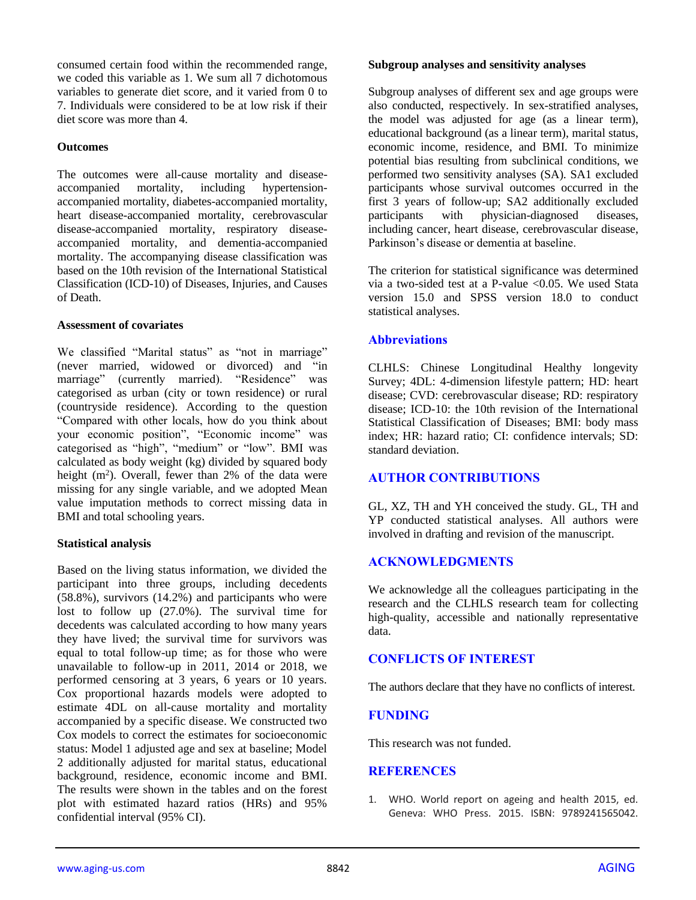consumed certain food within the recommended range, we coded this variable as 1. We sum all 7 dichotomous variables to generate diet score, and it varied from 0 to 7. Individuals were considered to be at low risk if their diet score was more than 4.

#### **Outcomes**

The outcomes were all-cause mortality and diseaseaccompanied mortality, including hypertensionaccompanied mortality, diabetes-accompanied mortality, heart disease-accompanied mortality, cerebrovascular disease-accompanied mortality, respiratory diseaseaccompanied mortality, and dementia-accompanied mortality. The accompanying disease classification was based on the 10th revision of the International Statistical Classification (ICD-10) of Diseases, Injuries, and Causes of Death.

#### **Assessment of covariates**

We classified "Marital status" as "not in marriage" (never married, widowed or divorced) and "in marriage" (currently married). "Residence" was categorised as urban (city or town residence) or rural (countryside residence). According to the question "Compared with other locals, how do you think about your economic position", "Economic income" was categorised as "high", "medium" or "low". BMI was calculated as body weight (kg) divided by squared body height  $(m^2)$ . Overall, fewer than 2% of the data were missing for any single variable, and we adopted Mean value imputation methods to correct missing data in BMI and total schooling years.

#### **Statistical analysis**

Based on the living status information, we divided the participant into three groups, including decedents (58.8%), survivors (14.2%) and participants who were lost to follow up (27.0%). The survival time for decedents was calculated according to how many years they have lived; the survival time for survivors was equal to total follow-up time; as for those who were unavailable to follow-up in 2011, 2014 or 2018, we performed censoring at 3 years, 6 years or 10 years. Cox proportional hazards models were adopted to estimate 4DL on all-cause mortality and mortality accompanied by a specific disease. We constructed two Cox models to correct the estimates for socioeconomic status: Model 1 adjusted age and sex at baseline; Model 2 additionally adjusted for marital status, educational background, residence, economic income and BMI. The results were shown in the tables and on the forest plot with estimated hazard ratios (HRs) and 95% confidential interval (95% CI).

#### **Subgroup analyses and sensitivity analyses**

Subgroup analyses of different sex and age groups were also conducted, respectively. In sex-stratified analyses, the model was adjusted for age (as a linear term), educational background (as a linear term), marital status, economic income, residence, and BMI. To minimize potential bias resulting from subclinical conditions, we performed two sensitivity analyses (SA). SA1 excluded participants whose survival outcomes occurred in the first 3 years of follow-up; SA2 additionally excluded participants with physician-diagnosed diseases, including cancer, heart disease, cerebrovascular disease, Parkinson's disease or dementia at baseline.

The criterion for statistical significance was determined via a two-sided test at a P-value  $\leq 0.05$ . We used Stata version 15.0 and SPSS version 18.0 to conduct statistical analyses.

#### **Abbreviations**

CLHLS: Chinese Longitudinal Healthy longevity Survey; 4DL: 4-dimension lifestyle pattern; HD: heart disease; CVD: cerebrovascular disease; RD: respiratory disease; ICD-10: the 10th revision of the International Statistical Classification of Diseases; BMI: body mass index; HR: hazard ratio; CI: confidence intervals; SD: standard deviation.

# **AUTHOR CONTRIBUTIONS**

GL, XZ, TH and YH conceived the study. GL, TH and YP conducted statistical analyses. All authors were involved in drafting and revision of the manuscript.

# **ACKNOWLEDGMENTS**

We acknowledge all the colleagues participating in the research and the CLHLS research team for collecting high-quality, accessible and nationally representative data.

#### **CONFLICTS OF INTEREST**

The authors declare that they have no conflicts of interest.

# **FUNDING**

This research was not funded.

#### **REFERENCES**

1. WHO. World report on ageing and health 2015, ed. Geneva: WHO Press. 2015. ISBN: 9789241565042.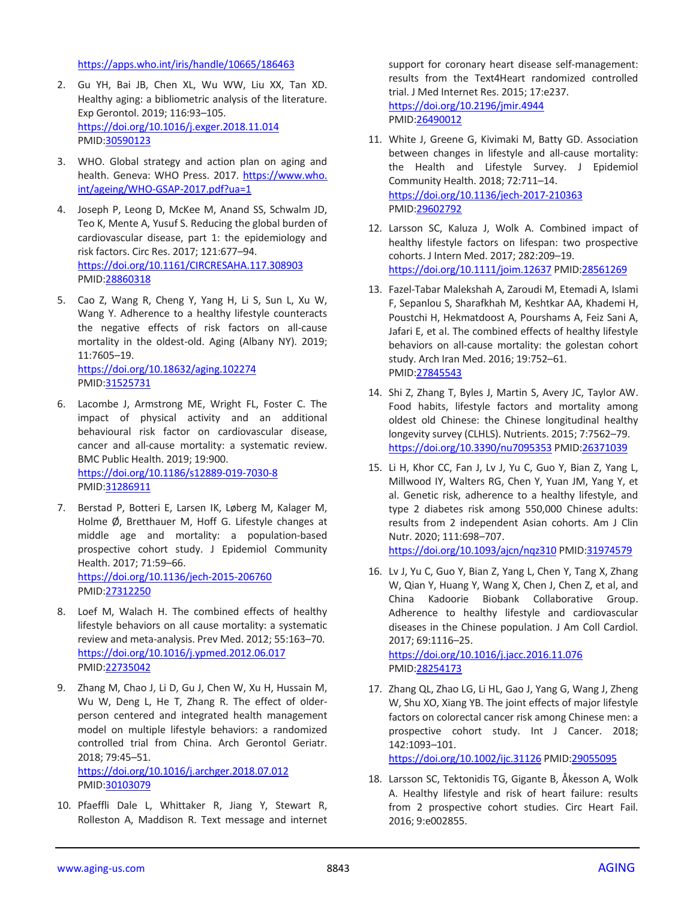<https://apps.who.int/iris/handle/10665/186463>

- 2. Gu YH, Bai JB, Chen XL, Wu WW, Liu XX, Tan XD. Healthy aging: a bibliometric analysis of the literature. Exp Gerontol. 2019; 116:93–105. <https://doi.org/10.1016/j.exger.2018.11.014> PMID[:30590123](https://pubmed.ncbi.nlm.nih.gov/30590123)
- 3. WHO. Global strategy and action plan on aging and health. Geneva: WHO Press. 2017. [https://www.who.](https://www.who.int/ageing/WHO-GSAP-2017.pdf?ua=1) [int/ageing/WHO-GSAP-2017.pdf?ua=1](https://www.who.int/ageing/WHO-GSAP-2017.pdf?ua=1)
- 4. Joseph P, Leong D, McKee M, Anand SS, Schwalm JD, Teo K, Mente A, Yusuf S. Reducing the global burden of cardiovascular disease, part 1: the epidemiology and risk factors. Circ Res. 2017; 121:677–94. <https://doi.org/10.1161/CIRCRESAHA.117.308903> PMID[:28860318](https://pubmed.ncbi.nlm.nih.gov/28860318)
- 5. Cao Z, Wang R, Cheng Y, Yang H, Li S, Sun L, Xu W, Wang Y. Adherence to a healthy lifestyle counteracts the negative effects of risk factors on all-cause mortality in the oldest-old. Aging (Albany NY). 2019; 11:7605–19.

<https://doi.org/10.18632/aging.102274> PMID[:31525731](https://pubmed.ncbi.nlm.nih.gov/31525731)

- 6. Lacombe J, Armstrong ME, Wright FL, Foster C. The impact of physical activity and an additional behavioural risk factor on cardiovascular disease, cancer and all-cause mortality: a systematic review. BMC Public Health. 2019; 19:900. <https://doi.org/10.1186/s12889-019-7030-8> PMID[:31286911](https://pubmed.ncbi.nlm.nih.gov/31286911)
- 7. Berstad P, Botteri E, Larsen IK, Løberg M, Kalager M, Holme Ø, Bretthauer M, Hoff G. Lifestyle changes at middle age and mortality: a population-based prospective cohort study. J Epidemiol Community Health. 2017; 71:59–66. <https://doi.org/10.1136/jech-2015-206760> PMID[:27312250](https://pubmed.ncbi.nlm.nih.gov/27312250)
- 8. Loef M, Walach H. The combined effects of healthy lifestyle behaviors on all cause mortality: a systematic review and meta-analysis. Prev Med. 2012; 55:163–70. <https://doi.org/10.1016/j.ypmed.2012.06.017> PMID[:22735042](https://pubmed.ncbi.nlm.nih.gov/22735042)
- 9. Zhang M, Chao J, Li D, Gu J, Chen W, Xu H, Hussain M, Wu W, Deng L, He T, Zhang R. The effect of olderperson centered and integrated health management model on multiple lifestyle behaviors: a randomized controlled trial from China. Arch Gerontol Geriatr. 2018; 79:45–51. <https://doi.org/10.1016/j.archger.2018.07.012> PMID[:30103079](https://pubmed.ncbi.nlm.nih.gov/30103079)
- 10. Pfaeffli Dale L, Whittaker R, Jiang Y, Stewart R, Rolleston A, Maddison R. Text message and internet

support for coronary heart disease self-management: results from the Text4Heart randomized controlled trial. J Med Internet Res. 2015; 17:e237. <https://doi.org/10.2196/jmir.4944> PMI[D:26490012](https://pubmed.ncbi.nlm.nih.gov/26490012)

- 11. White J, Greene G, Kivimaki M, Batty GD. Association between changes in lifestyle and all-cause mortality: the Health and Lifestyle Survey. J Epidemiol Community Health. 2018; 72:711–14. <https://doi.org/10.1136/jech-2017-210363> PMI[D:29602792](https://pubmed.ncbi.nlm.nih.gov/29602792)
- 12. Larsson SC, Kaluza J, Wolk A. Combined impact of healthy lifestyle factors on lifespan: two prospective cohorts. J Intern Med. 2017; 282:209–19. <https://doi.org/10.1111/joim.12637> PMID[:28561269](https://pubmed.ncbi.nlm.nih.gov/28561269)
- 13. Fazel-Tabar Malekshah A, Zaroudi M, Etemadi A, Islami F, Sepanlou S, Sharafkhah M, Keshtkar AA, Khademi H, Poustchi H, Hekmatdoost A, Pourshams A, Feiz Sani A, Jafari E, et al. The combined effects of healthy lifestyle behaviors on all-cause mortality: the golestan cohort study. Arch Iran Med. 2016; 19:752–61. PMI[D:27845543](https://pubmed.ncbi.nlm.nih.gov/27845543)
- 14. Shi Z, Zhang T, Byles J, Martin S, Avery JC, Taylor AW. Food habits, lifestyle factors and mortality among oldest old Chinese: the Chinese longitudinal healthy longevity survey (CLHLS). Nutrients. 2015; 7:7562–79. <https://doi.org/10.3390/nu7095353> PMID[:26371039](https://pubmed.ncbi.nlm.nih.gov/26371039)
- 15. Li H, Khor CC, Fan J, Lv J, Yu C, Guo Y, Bian Z, Yang L, Millwood IY, Walters RG, Chen Y, Yuan JM, Yang Y, et al. Genetic risk, adherence to a healthy lifestyle, and type 2 diabetes risk among 550,000 Chinese adults: results from 2 independent Asian cohorts. Am J Clin Nutr. 2020; 111:698–707. <https://doi.org/10.1093/ajcn/nqz310> PMID[:31974579](https://pubmed.ncbi.nlm.nih.gov/31974579)
- 16. Lv J, Yu C, Guo Y, Bian Z, Yang L, Chen Y, Tang X, Zhang W, Qian Y, Huang Y, Wang X, Chen J, Chen Z, et al, and China Kadoorie Biobank Collaborative Group. Adherence to healthy lifestyle and cardiovascular diseases in the Chinese population. J Am Coll Cardiol. 2017; 69:1116–25. <https://doi.org/10.1016/j.jacc.2016.11.076> PMI[D:28254173](https://pubmed.ncbi.nlm.nih.gov/28254173)
- 17. Zhang QL, Zhao LG, Li HL, Gao J, Yang G, Wang J, Zheng W, Shu XO, Xiang YB. The joint effects of major lifestyle factors on colorectal cancer risk among Chinese men: a prospective cohort study. Int J Cancer. 2018; 142:1093–101.

<https://doi.org/10.1002/ijc.31126> PMID[:29055095](https://pubmed.ncbi.nlm.nih.gov/29055095)

18. Larsson SC, Tektonidis TG, Gigante B, Åkesson A, Wolk A. Healthy lifestyle and risk of heart failure: results from 2 prospective cohort studies. Circ Heart Fail. 2016; 9:e002855.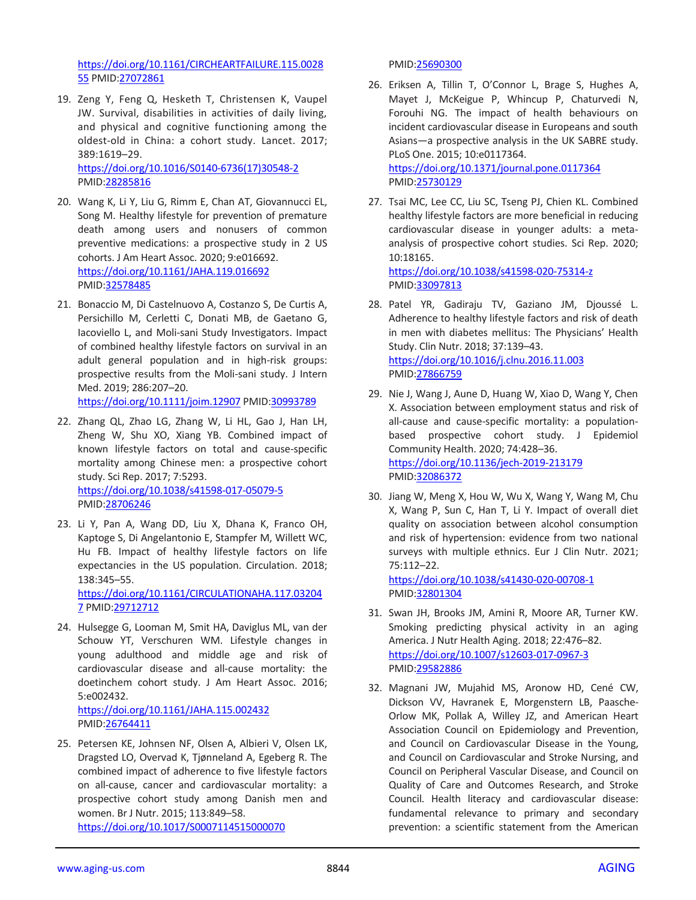[https://doi.org/10.1161/CIRCHEARTFAILURE.115.0028](https://doi.org/10.1161/CIRCHEARTFAILURE.115.002855) [55](https://doi.org/10.1161/CIRCHEARTFAILURE.115.002855) PMID[:27072861](https://pubmed.ncbi.nlm.nih.gov/27072861)

19. Zeng Y, Feng Q, Hesketh T, Christensen K, Vaupel JW. Survival, disabilities in activities of daily living, and physical and cognitive functioning among the oldest-old in China: a cohort study. Lancet. 2017; 389:1619–29. [https://doi.org/10.1016/S0140-6736\(17\)30548-2](https://doi.org/10.1016/S0140-6736(17)30548-2)

PMID[:28285816](https://pubmed.ncbi.nlm.nih.gov/28285816)

- 20. Wang K, Li Y, Liu G, Rimm E, Chan AT, Giovannucci EL, Song M. Healthy lifestyle for prevention of premature death among users and nonusers of common preventive medications: a prospective study in 2 US cohorts. J Am Heart Assoc. 2020; 9:e016692. <https://doi.org/10.1161/JAHA.119.016692> PMID[:32578485](https://pubmed.ncbi.nlm.nih.gov/32578485)
- 21. Bonaccio M, Di Castelnuovo A, Costanzo S, De Curtis A, Persichillo M, Cerletti C, Donati MB, de Gaetano G, Iacoviello L, and Moli-sani Study Investigators. Impact of combined healthy lifestyle factors on survival in an adult general population and in high-risk groups: prospective results from the Moli-sani study. J Intern Med. 2019; 286:207–20.

<https://doi.org/10.1111/joim.12907> PMID[:30993789](https://pubmed.ncbi.nlm.nih.gov/30993789)

- 22. Zhang QL, Zhao LG, Zhang W, Li HL, Gao J, Han LH, Zheng W, Shu XO, Xiang YB. Combined impact of known lifestyle factors on total and cause-specific mortality among Chinese men: a prospective cohort study. Sci Rep. 2017; 7:5293. <https://doi.org/10.1038/s41598-017-05079-5> PMID[:28706246](https://pubmed.ncbi.nlm.nih.gov/28706246)
- 23. Li Y, Pan A, Wang DD, Liu X, Dhana K, Franco OH, Kaptoge S, Di Angelantonio E, Stampfer M, Willett WC, Hu FB. Impact of healthy lifestyle factors on life expectancies in the US population. Circulation. 2018; 138:345–55.

[https://doi.org/10.1161/CIRCULATIONAHA.117.03204](https://doi.org/10.1161/CIRCULATIONAHA.117.032047) [7](https://doi.org/10.1161/CIRCULATIONAHA.117.032047) PMID[:29712712](https://pubmed.ncbi.nlm.nih.gov/29712712)

24. Hulsegge G, Looman M, Smit HA, Daviglus ML, van der Schouw YT, Verschuren WM. Lifestyle changes in young adulthood and middle age and risk of cardiovascular disease and all-cause mortality: the doetinchem cohort study. J Am Heart Assoc. 2016; 5:e002432.

<https://doi.org/10.1161/JAHA.115.002432> PMID[:26764411](https://pubmed.ncbi.nlm.nih.gov/26764411)

25. Petersen KE, Johnsen NF, Olsen A, Albieri V, Olsen LK, Dragsted LO, Overvad K, Tjønneland A, Egeberg R. The combined impact of adherence to five lifestyle factors on all-cause, cancer and cardiovascular mortality: a prospective cohort study among Danish men and women. Br J Nutr. 2015; 113:849–58. <https://doi.org/10.1017/S0007114515000070>

PMI[D:25690300](https://pubmed.ncbi.nlm.nih.gov/25690300)

- 26. Eriksen A, Tillin T, O'Connor L, Brage S, Hughes A, Mayet J, McKeigue P, Whincup P, Chaturvedi N, Forouhi NG. The impact of health behaviours on incident cardiovascular disease in Europeans and south Asians—a prospective analysis in the UK SABRE study. PLoS One. 2015; 10:e0117364. <https://doi.org/10.1371/journal.pone.0117364> PMI[D:25730129](https://pubmed.ncbi.nlm.nih.gov/25730129)
- 27. Tsai MC, Lee CC, Liu SC, Tseng PJ, Chien KL. Combined healthy lifestyle factors are more beneficial in reducing cardiovascular disease in younger adults: a metaanalysis of prospective cohort studies. Sci Rep. 2020; 10:18165.

<https://doi.org/10.1038/s41598-020-75314-z> PMI[D:33097813](https://pubmed.ncbi.nlm.nih.gov/33097813)

- 28. Patel YR, Gadiraju TV, Gaziano JM, Djoussé L. Adherence to healthy lifestyle factors and risk of death in men with diabetes mellitus: The Physicians' Health Study. Clin Nutr. 2018; 37:139–43. <https://doi.org/10.1016/j.clnu.2016.11.003> PMI[D:27866759](https://pubmed.ncbi.nlm.nih.gov/27866759)
- 29. Nie J, Wang J, Aune D, Huang W, Xiao D, Wang Y, Chen X. Association between employment status and risk of all-cause and cause-specific mortality: a populationbased prospective cohort study. J Epidemiol Community Health. 2020; 74:428–36. <https://doi.org/10.1136/jech-2019-213179> PMI[D:32086372](https://pubmed.ncbi.nlm.nih.gov/32086372/)
- 30. Jiang W, Meng X, Hou W, Wu X, Wang Y, Wang M, Chu X, Wang P, Sun C, Han T, Li Y. Impact of overall diet quality on association between alcohol consumption and risk of hypertension: evidence from two national surveys with multiple ethnics. Eur J Clin Nutr. 2021; 75:112–22.

<https://doi.org/10.1038/s41430-020-00708-1> PMI[D:32801304](https://pubmed.ncbi.nlm.nih.gov/32801304)

- 31. Swan JH, Brooks JM, Amini R, Moore AR, Turner KW. Smoking predicting physical activity in an aging America. J Nutr Health Aging. 2018; 22:476–82. <https://doi.org/10.1007/s12603-017-0967-3> PMI[D:29582886](https://pubmed.ncbi.nlm.nih.gov/29582886)
- 32. Magnani JW, Mujahid MS, Aronow HD, Cené CW, Dickson VV, Havranek E, Morgenstern LB, Paasche-Orlow MK, Pollak A, Willey JZ, and American Heart Association Council on Epidemiology and Prevention, and Council on Cardiovascular Disease in the Young, and Council on Cardiovascular and Stroke Nursing, and Council on Peripheral Vascular Disease, and Council on Quality of Care and Outcomes Research, and Stroke Council. Health literacy and cardiovascular disease: fundamental relevance to primary and secondary prevention: a scientific statement from the American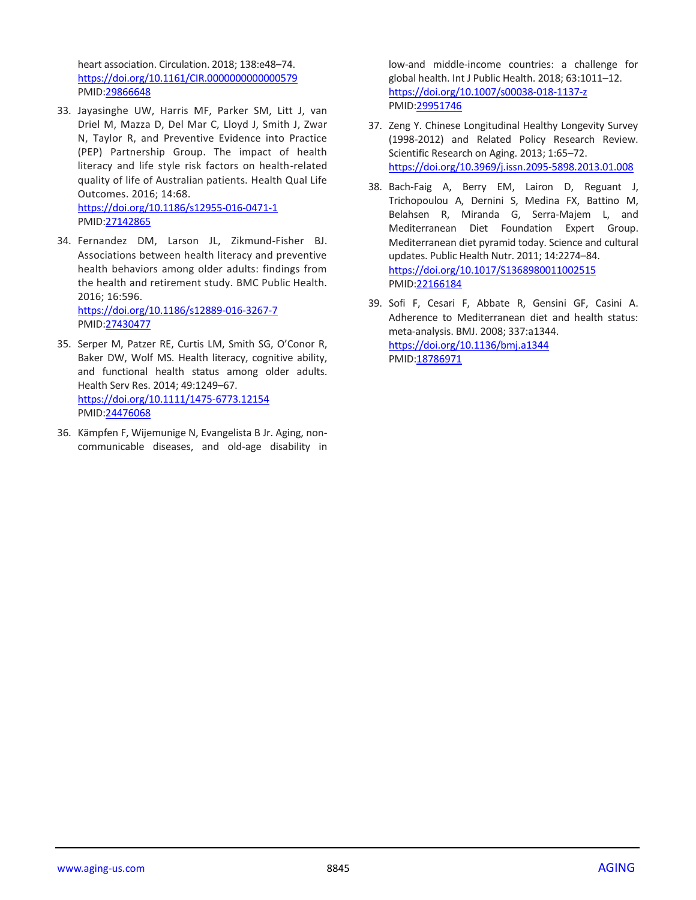heart association. Circulation. 2018; 138:e48–74. <https://doi.org/10.1161/CIR.0000000000000579> PMID[:29866648](https://pubmed.ncbi.nlm.nih.gov/29866648)

- 33. Jayasinghe UW, Harris MF, Parker SM, Litt J, van Driel M, Mazza D, Del Mar C, Lloyd J, Smith J, Zwar N, Taylor R, and Preventive Evidence into Practice (PEP) Partnership Group. The impact of health literacy and life style risk factors on health-related quality of life of Australian patients. Health Qual Life Outcomes. 2016; 14:68. <https://doi.org/10.1186/s12955-016-0471-1> PMID[:27142865](https://pubmed.ncbi.nlm.nih.gov/27142865)
- 34. Fernandez DM, Larson JL, Zikmund-Fisher BJ. Associations between health literacy and preventive health behaviors among older adults: findings from the health and retirement study. BMC Public Health. 2016; 16:596. <https://doi.org/10.1186/s12889-016-3267-7>

PMID[:27430477](https://pubmed.ncbi.nlm.nih.gov/27430477)

- 35. Serper M, Patzer RE, Curtis LM, Smith SG, O'Conor R, Baker DW, Wolf MS. Health literacy, cognitive ability, and functional health status among older adults. Health Serv Res. 2014; 49:1249–67. <https://doi.org/10.1111/1475-6773.12154> PMID[:24476068](https://pubmed.ncbi.nlm.nih.gov/24476068)
- 36. Kämpfen F, Wijemunige N, Evangelista B Jr. Aging, noncommunicable diseases, and old-age disability in

low-and middle-income countries: a challenge for global health. Int J Public Health. 2018; 63:1011–12. <https://doi.org/10.1007/s00038-018-1137-z> PMI[D:29951746](https://pubmed.ncbi.nlm.nih.gov/29951746)

- 37. Zeng Y. Chinese Longitudinal Healthy Longevity Survey (1998-2012) and Related Policy Research Review. Scientific Research on Aging. 2013; 1:65–72. <https://doi.org/10.3969/j.issn.2095-5898.2013.01.008>
- 38. Bach-Faig A, Berry EM, Lairon D, Reguant J, Trichopoulou A, Dernini S, Medina FX, Battino M, Belahsen R, Miranda G, Serra-Majem L, and Mediterranean Diet Foundation Expert Group. Mediterranean diet pyramid today. Science and cultural updates. Public Health Nutr. 2011; 14:2274–84. <https://doi.org/10.1017/S1368980011002515> PMI[D:22166184](https://pubmed.ncbi.nlm.nih.gov/22166184)
- 39. Sofi F, Cesari F, Abbate R, Gensini GF, Casini A. Adherence to Mediterranean diet and health status: meta-analysis. BMJ. 2008; 337:a1344. <https://doi.org/10.1136/bmj.a1344> PMI[D:18786971](https://pubmed.ncbi.nlm.nih.gov/18786971)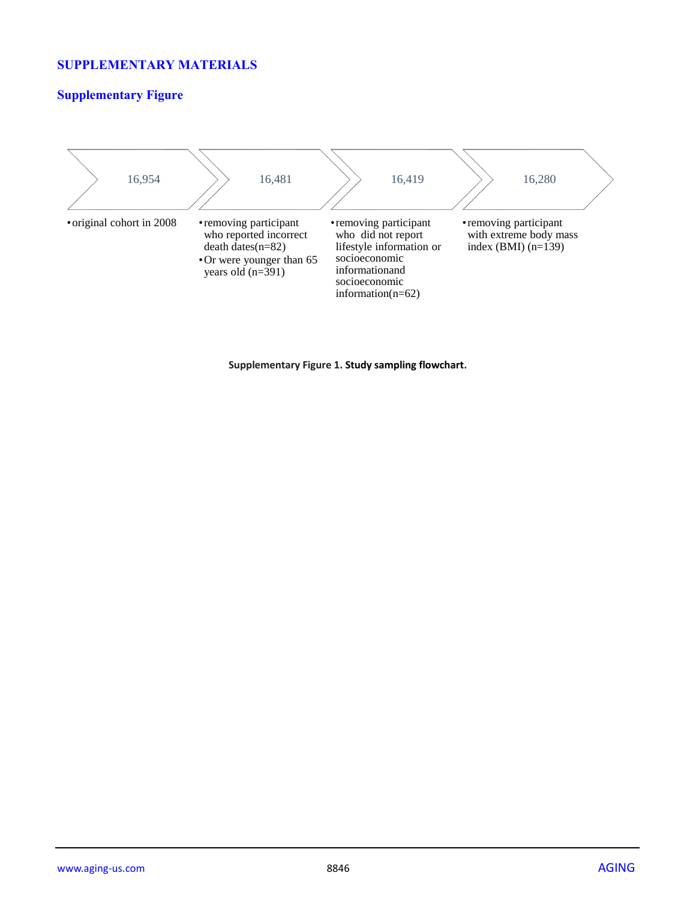# **SUPPLEMENTARY MATERIALS**

# **Supplementary Figure**



#### **Supplementary Figure 1. Study sampling flowchart.**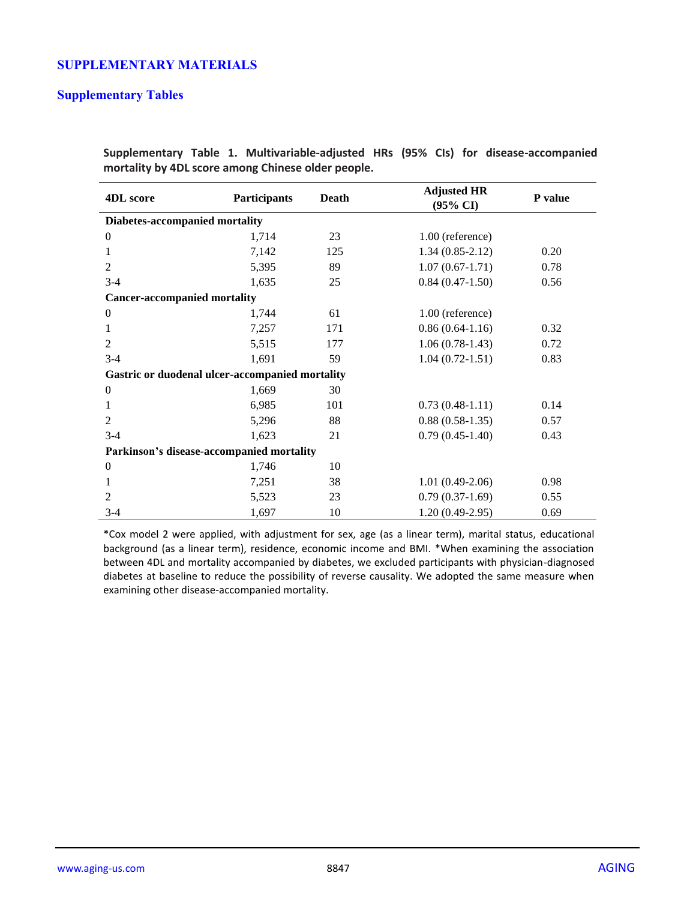# **SUPPLEMENTARY MATERIALS**

#### **Supplementary Tables**

| <b>4DL</b> score                                | Participants | Death | <b>Adjusted HR</b><br>(95% CI) | P value |  |
|-------------------------------------------------|--------------|-------|--------------------------------|---------|--|
| Diabetes-accompanied mortality                  |              |       |                                |         |  |
| $\boldsymbol{0}$                                | 1,714        | 23    | 1.00 (reference)               |         |  |
| 1                                               | 7,142        | 125   | $1.34(0.85-2.12)$              | 0.20    |  |
| $\overline{2}$                                  | 5,395        | 89    | $1.07(0.67-1.71)$              | 0.78    |  |
| $3 - 4$                                         | 1,635        | 25    | $0.84(0.47-1.50)$              | 0.56    |  |
| <b>Cancer-accompanied mortality</b>             |              |       |                                |         |  |
| $\overline{0}$                                  | 1,744        | 61    | $1.00$ (reference)             |         |  |
| 1                                               | 7,257        | 171   | $0.86(0.64-1.16)$              | 0.32    |  |
| 2                                               | 5,515        | 177   | $1.06(0.78-1.43)$              | 0.72    |  |
| $3-4$                                           | 1,691        | 59    | $1.04(0.72-1.51)$              | 0.83    |  |
| Gastric or duodenal ulcer-accompanied mortality |              |       |                                |         |  |
| $\boldsymbol{0}$                                | 1,669        | 30    |                                |         |  |
| 1                                               | 6,985        | 101   | $0.73(0.48-1.11)$              | 0.14    |  |
| 2                                               | 5,296        | 88    | $0.88(0.58-1.35)$              | 0.57    |  |
| $3-4$                                           | 1,623        | 21    | $0.79(0.45-1.40)$              | 0.43    |  |
| Parkinson's disease-accompanied mortality       |              |       |                                |         |  |
| $\mathbf{0}$                                    | 1,746        | 10    |                                |         |  |
| 1                                               | 7,251        | 38    | $1.01(0.49-2.06)$              | 0.98    |  |
| $\overline{2}$                                  | 5,523        | 23    | $0.79(0.37-1.69)$              | 0.55    |  |
| $3 - 4$                                         | 1,697        | 10    | $1.20(0.49-2.95)$              | 0.69    |  |

**Supplementary Table 1. Multivariable-adjusted HRs (95% CIs) for disease-accompanied mortality by 4DL score among Chinese older people.**

\*Cox model 2 were applied, with adjustment for sex, age (as a linear term), marital status, educational background (as a linear term), residence, economic income and BMI. \*When examining the association between 4DL and mortality accompanied by diabetes, we excluded participants with physician-diagnosed diabetes at baseline to reduce the possibility of reverse causality. We adopted the same measure when examining other disease-accompanied mortality.